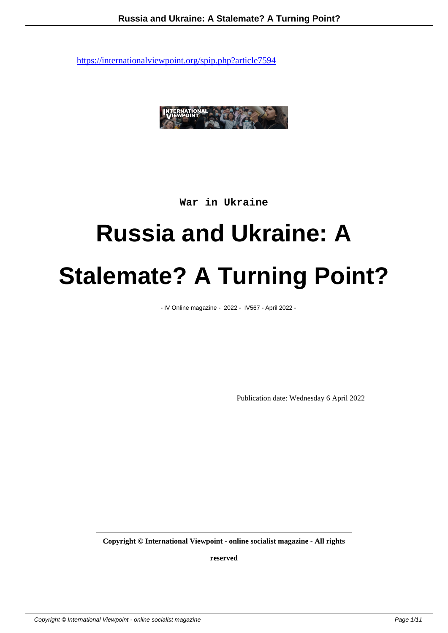

**War in Ukraine**

# **Russia and Ukraine: A Stalemate? A Turning Point?**

- IV Online magazine - 2022 - IV567 - April 2022 -

Publication date: Wednesday 6 April 2022

**Copyright © International Viewpoint - online socialist magazine - All rights**

**reserved**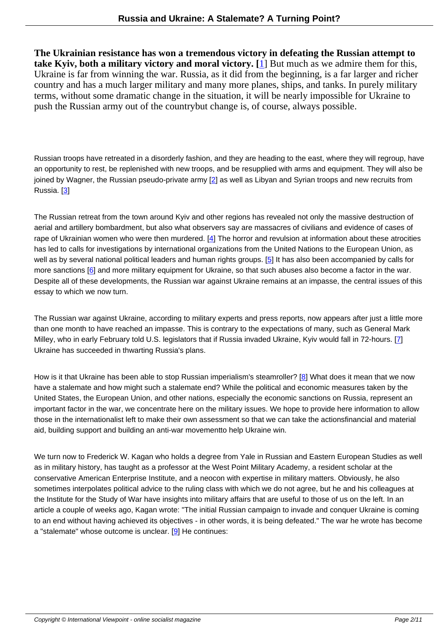**The Ukrainian resistance has won a tremendous victory in defeating the Russian attempt to take Kyiv, both a military victory and moral victory. [**1] But much as we admire them for this, Ukraine is far from winning the war. Russia, as it did from the beginning, is a far larger and richer country and has a much larger military and many more planes, ships, and tanks. In purely military terms, without some dramatic change in the situation, it will be nearly impossible for Ukraine to push the Russian army out o[f](#nb1) the country but change is, of course, always possible.

Russian troops have retreated in a disorderly fashion, and they are heading to the east, where they will regroup, have an opportunity to rest, be replenished with new troops, and be resupplied with arms and equipment. They will also be joined by Wagner, the Russian pseudo-private army [2] as well as Libyan and Syrian troops and new recruits from Russia. [3]

The Russian retreat from the town around Kyiv and o[th](#nb2)er regions has revealed not only the massive destruction of aerial an[d](#nb3) artillery bombardment, but also what observers say are massacres of civilians and evidence of cases of rape of Ukrainian women who were then murdered.  $[4]$  The horror and revulsion at information about these atrocities has led to calls for investigations by international organizations from the United Nations to the European Union, as well as by several national political leaders and human rights groups. [5] It has also been accompanied by calls for more sanctions [6] and more military equipment for Ukraine, so that such abuses also become a factor in the war. Despite all of these developments, the Russian war [ag](#nb4)ainst Ukraine remains at an impasse, the central issues of this essay to which we now turn.

The Russian war against Ukraine, according to military experts and press reports, now appears after just a little more than one month to have reached an impasse. This is contrary to the expectations of many, such as General Mark Milley, who in early February told U.S. legislators that if Russia invaded Ukraine, Kyiv would fall in 72-hours. [7] Ukraine has succeeded in thwarting Russia's plans.

How is it that Ukrain[e](#nb7) has been able to stop Russian imperialism's steamroller? [8] What does it mean that we now have a stalemate and how might such a stalemate end? While the political and economic measures taken by the United States, the European Union, and other nations, especially the economic sanctions on Russia, represent an important factor in the war, we concentrate here on the military issues. We hope to provide here information to allow those in the internationalist left to make their own assessment so that we can ta[ke](#nb8) the actionsfinancial and material aid, building support and building an anti-war movement to help Ukraine win.

We turn now to Frederick W. Kagan who holds a degree from Yale in Russian and Eastern European Studies as well as in military history, has taught as a professor at the West Point Military Academy, a resident scholar at the conservative American Enterprise Institute, and a neocon with expertise in military matters. Obviously, he also sometimes interpolates political advice to the ruling class with which we do not agree, but he and his colleagues at the Institute for the Study of War have insights into military affairs that are useful to those of us on the left. In an article a couple of weeks ago, Kagan wrote: "The initial Russian campaign to invade and conquer Ukraine is coming to an end without having achieved its objectives - in other words, it is being defeated." The war he wrote has become a "stalemate" whose outcome is unclear.  $[9]$  He continues: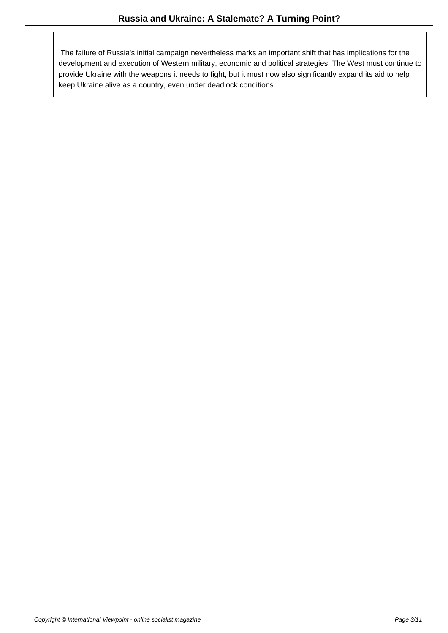The failure of Russia's initial campaign nevertheless marks an important shift that has implications for the development and execution of Western military, economic and political strategies. The West must continue to provide Ukraine with the weapons it needs to fight, but it must now also significantly expand its aid to help keep Ukraine alive as a country, even under deadlock conditions.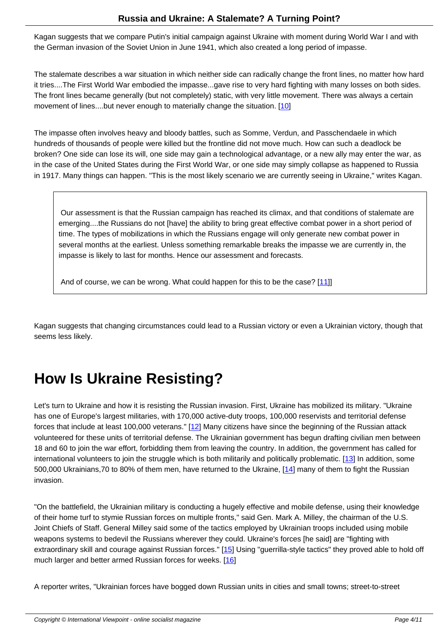Kagan suggests that we compare Putin's initial campaign against Ukraine with moment during World War I and with the German invasion of the Soviet Union in June 1941, which also created a long period of impasse.

The stalemate describes a war situation in which neither side can radically change the front lines, no matter how hard it tries....The First World War embodied the impasse...gave rise to very hard fighting with many losses on both sides. The front lines became generally (but not completely) static, with very little movement. There was always a certain movement of lines....but never enough to materially change the situation. [10]

The impasse often involves heavy and bloody battles, such as Somme, Verdun, and Passchendaele in which hundreds of thousands of people were killed but the frontline did not move [mu](#nb10)ch. How can such a deadlock be broken? One side can lose its will, one side may gain a technological advantage, or a new ally may enter the war, as in the case of the United States during the First World War, or one side may simply collapse as happened to Russia in 1917. Many things can happen. "This is the most likely scenario we are currently seeing in Ukraine," writes Kagan.

 Our assessment is that the Russian campaign has reached its climax, and that conditions of stalemate are emerging....the Russians do not [have] the ability to bring great effective combat power in a short period of time. The types of mobilizations in which the Russians engage will only generate new combat power in several months at the earliest. Unless something remarkable breaks the impasse we are currently in, the impasse is likely to last for months. Hence our assessment and forecasts.

And of course, we can be wrong. What could happen for this to be the case?  $[11]$ 

Kagan suggests that changing circumstances could lead to a Russian victory or even [a U](#nb11)krainian victory, though that seems less likely.

## **How Is Ukraine Resisting?**

Let's turn to Ukraine and how it is resisting the Russian invasion. First, Ukraine has mobilized its military. "Ukraine has one of Europe's largest militaries, with 170,000 active-duty troops, 100,000 reservists and territorial defense forces that include at least 100,000 veterans." [12] Many citizens have since the beginning of the Russian attack volunteered for these units of territorial defense. The Ukrainian government has begun drafting civilian men between 18 and 60 to join the war effort, forbidding them from leaving the country. In addition, the government has called for international volunteers to join the struggle which is both militarily and politically problematic. [13] In addition, some 500,000 Ukrainians,70 to 80% of them men, h[ave](#nb12) returned to the Ukraine, [14] many of them to fight the Russian invasion.

"On the battlefield, the Ukrainian military is conducting a hugely effective a[nd m](#nb14)obile defense, using their knowledge of their home turf to stymie Russian forces on multiple fronts," said Gen. Mark A. Milley, the chairman of the U.S. Joint Chiefs of Staff. General Milley said some of the tactics employed by Ukrainian troops included using mobile weapons systems to bedevil the Russians wherever they could. Ukraine's forces [he said] are "fighting with extraordinary skill and courage against Russian forces." [15] Using "guerrilla-style tactics" they proved able to hold off much larger and better armed Russian forces for weeks. [16]

A reporter writes, "Ukrainian forces have bogged down [Russ](#nb15)ian units in cities and small towns; street-to-street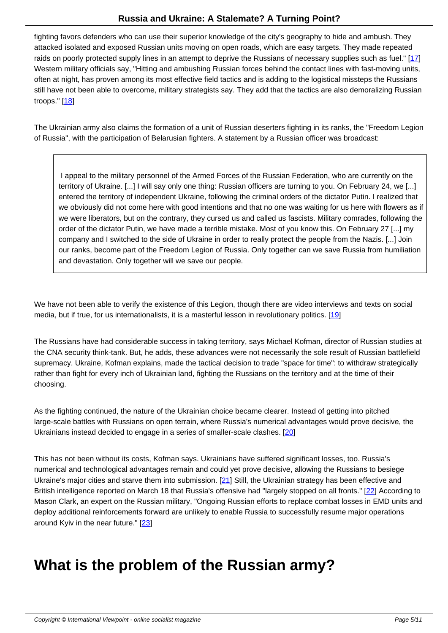fighting favors defenders who can use their superior knowledge of the city's geography to hide and ambush. They attacked isolated and exposed Russian units moving on open roads, which are easy targets. They made repeated raids on poorly protected supply lines in an attempt to deprive the Russians of necessary supplies such as fuel." [17] Western military officials say, "Hitting and ambushing Russian forces behind the contact lines with fast-moving units, often at night, has proven among its most effective field tactics and is adding to the logistical missteps the Russians still have not been able to overcome, military strategists say. They add that the tactics are also demoralizing Rus[sian](#nb17) troops."  $[18]$ 

The Ukrainian army also claims the formation of a unit of Russian deserters fighting in its ranks, the "Freedom Legion of Russi[a",](#nb18) with the participation of Belarusian fighters. A statement by a Russian officer was broadcast:

 I appeal to the military personnel of the Armed Forces of the Russian Federation, who are currently on the territory of Ukraine. [...] I will say only one thing: Russian officers are turning to you. On February 24, we [...] entered the territory of independent Ukraine, following the criminal orders of the dictator Putin. I realized that we obviously did not come here with good intentions and that no one was waiting for us here with flowers as if we were liberators, but on the contrary, they cursed us and called us fascists. Military comrades, following the order of the dictator Putin, we have made a terrible mistake. Most of you know this. On February 27 [...] my company and I switched to the side of Ukraine in order to really protect the people from the Nazis. [...] Join our ranks, become part of the Freedom Legion of Russia. Only together can we save Russia from humiliation and devastation. Only together will we save our people.

We have not been able to verify the existence of this Legion, though there are video interviews and texts on social media, but if true, for us internationalists, it is a masterful lesson in revolutionary politics. [19]

The Russians have had considerable success in taking territory, says Michael Kofman, director of Russian studies at the CNA security think-tank. But, he adds, these advances were not necessarily the sole [res](#nb19)ult of Russian battlefield supremacy. Ukraine, Kofman explains, made the tactical decision to trade "space for time": to withdraw strategically rather than fight for every inch of Ukrainian land, fighting the Russians on the territory and at the time of their choosing.

As the fighting continued, the nature of the Ukrainian choice became clearer. Instead of getting into pitched large-scale battles with Russians on open terrain, where Russia's numerical advantages would prove decisive, the Ukrainians instead decided to engage in a series of smaller-scale clashes. [20]

This has not been without its costs, Kofman says. Ukrainians have suffered significant losses, too. Russia's numerical and technological advantages remain and could yet prove decisi[ve,](#nb20) allowing the Russians to besiege Ukraine's major cities and starve them into submission.  $[21]$  Still, the Ukrainian strategy has been effective and British intelligence reported on March 18 that Russia's offensive had "largely stopped on all fronts." [22] According to Mason Clark, an expert on the Russian military, "Ongoing Russian efforts to replace combat losses in EMD units and deploy additional reinforcements forward are unlikely to [ena](#nb21)ble Russia to successfully resume major operations around Kyiv in the near future." [23]

### **What is the pr[ob](#nb23)lem of the Russian army?**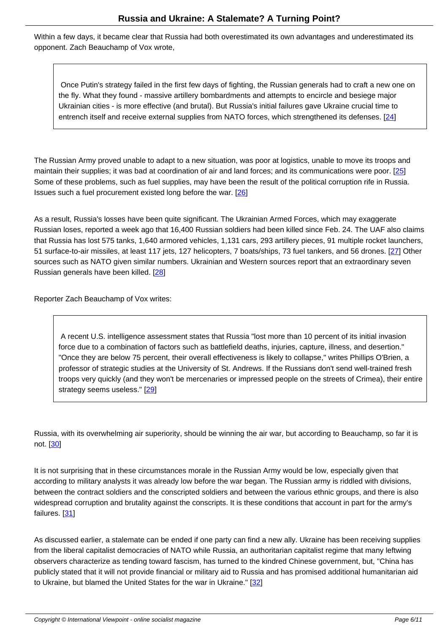Within a few days, it became clear that Russia had both overestimated its own advantages and underestimated its opponent. Zach Beauchamp of Vox wrote,

 Once Putin's strategy failed in the first few days of fighting, the Russian generals had to craft a new one on the fly. What they found - massive artillery bombardments and attempts to encircle and besiege major Ukrainian cities - is more effective (and brutal). But Russia's initial failures gave Ukraine crucial time to entrench itself and receive external supplies from NATO forces, which strengthened its defenses. [24]

The Russian Army proved unable to adapt to a new situation, was poor at logistics, unable to move its tro[ops](#nb24) and maintain their supplies; it was bad at coordination of air and land forces; and its communications were poor. [25] Some of these problems, such as fuel supplies, may have been the result of the political corruption rife in Russia. Issues such a fuel procurement existed long before the war. [26]

As a result, Russia's losses have been quite significant. The Ukrainian Armed Forces, which may exaggerate Russian loses, reported a week ago that 16,400 Russian sol[dier](#nb26)s had been killed since Feb. 24. The UAF also claims that Russia has lost 575 tanks, 1,640 armored vehicles, 1,131 cars, 293 artillery pieces, 91 multiple rocket launchers, 51 surface-to-air missiles, at least 117 jets, 127 helicopters, 7 boats/ships, 73 fuel tankers, and 56 drones. [27] Other sources such as NATO given similar numbers. Ukrainian and Western sources report that an extraordinary seven Russian generals have been killed. [28]

Reporter Zach Beauchamp of Vox writes:

 A recent U.S. intelligence assessment states that Russia "lost more than 10 percent of its initial invasion force due to a combination of factors such as battlefield deaths, injuries, capture, illness, and desertion." "Once they are below 75 percent, their overall effectiveness is likely to collapse," writes Phillips O'Brien, a professor of strategic studies at the University of St. Andrews. If the Russians don't send well-trained fresh troops very quickly (and they won't be mercenaries or impressed people on the streets of Crimea), their entire strategy seems useless." [29]

Russia, with its overwhelming air [sup](#nb29)eriority, should be winning the air war, but according to Beauchamp, so far it is not. [30]

It is not surprising that in these circumstances morale in the Russian Army would be low, especially given that acco[rdin](#nb30)g to military analysts it was already low before the war began. The Russian army is riddled with divisions, between the contract soldiers and the conscripted soldiers and between the various ethnic groups, and there is also widespread corruption and brutality against the conscripts. It is these conditions that account in part for the army's failures. [31]

As discussed earlier, a stalemate can be ended if one party can find a new ally. Ukraine has been receiving supplies from the [libe](#nb31)ral capitalist democracies of NATO while Russia, an authoritarian capitalist regime that many leftwing observers characterize as tending toward fascism, has turned to the kindred Chinese government, but, "China has publicly stated that it will not provide financial or military aid to Russia and has promised additional humanitarian aid to Ukraine, but blamed the United States for the war in Ukraine." [32]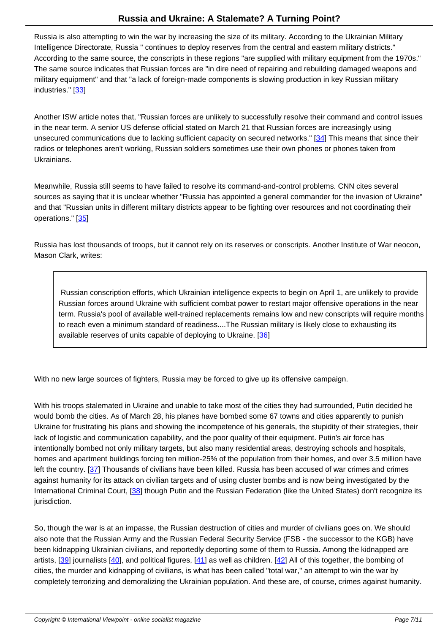Russia is also attempting to win the war by increasing the size of its military. According to the Ukrainian Military Intelligence Directorate, Russia " continues to deploy reserves from the central and eastern military districts." According to the same source, the conscripts in these regions "are supplied with military equipment from the 1970s." The same source indicates that Russian forces are "in dire need of repairing and rebuilding damaged weapons and military equipment" and that "a lack of foreign-made components is slowing production in key Russian military industries." [33]

Another ISW article notes that, "Russian forces are unlikely to successfully resolve their command and control issues in the near t[erm](#nb33). A senior US defense official stated on March 21 that Russian forces are increasingly using unsecured communications due to lacking sufficient capacity on secured networks." [34] This means that since their radios or telephones aren't working, Russian soldiers sometimes use their own phones or phones taken from Ukrainians.

Meanwhile, Russia still seems to have failed to resolve its command-and-control problems. CNN cites several sources as saying that it is unclear whether "Russia has appointed a general commander for the invasion of Ukraine" and that "Russian units in different military districts appear to be fighting over resources and not coordinating their operations." [35]

Russia has lost thousands of troops, but it cannot rely on its reserves or conscripts. Another Institute of War neocon, Mason Clark[, wr](#nb35)ites:

 Russian conscription efforts, which Ukrainian intelligence expects to begin on April 1, are unlikely to provide Russian forces around Ukraine with sufficient combat power to restart major offensive operations in the near term. Russia's pool of available well-trained replacements remains low and new conscripts will require months to reach even a minimum standard of readiness....The Russian military is likely close to exhausting its available reserves of units capable of deploying to Ukraine. [36]

With no new large sources of fighters, Russia may be forced to give [up](#nb36) its offensive campaign.

With his troops stalemated in Ukraine and unable to take most of the cities they had surrounded, Putin decided he would bomb the cities. As of March 28, his planes have bombed some 67 towns and cities apparently to punish Ukraine for frustrating his plans and showing the incompetence of his generals, the stupidity of their strategies, their lack of logistic and communication capability, and the poor quality of their equipment. Putin's air force has intentionally bombed not only military targets, but also many residential areas, destroying schools and hospitals, homes and apartment buildings forcing ten million-25% of the population from their homes, and over 3.5 million have left the country. [37] Thousands of civilians have been killed. Russia has been accused of war crimes and crimes against humanity for its attack on civilian targets and of using cluster bombs and is now being investigated by the International Criminal Court, [38] though Putin and the Russian Federation (like the United States) don't recognize its jurisdiction.

So, though the war is at an i[mpa](#nb38)sse, the Russian destruction of cities and murder of civilians goes on. We should also note that the Russian Army and the Russian Federal Security Service (FSB - the successor to the KGB) have been kidnapping Ukrainian civilians, and reportedly deporting some of them to Russia. Among the kidnapped are artists,  $[39]$  journalists  $[40]$ , and political figures,  $[41]$  as well as children.  $[42]$  All of this together, the bombing of cities, the murder and kidnapping of civilians, is what has been called "total war," an attempt to win the war by completely terrorizing and demoralizing the Ukrainian population. And these are, of course, crimes against humanity.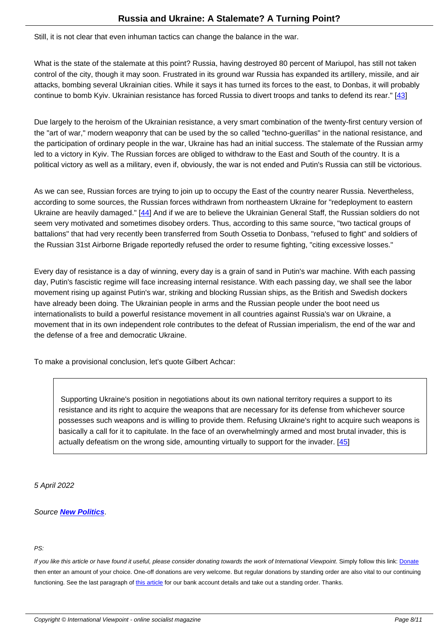Still, it is not clear that even inhuman tactics can change the balance in the war.

What is the state of the stalemate at this point? Russia, having destroyed 80 percent of Mariupol, has still not taken control of the city, though it may soon. Frustrated in its ground war Russia has expanded its artillery, missile, and air attacks, bombing several Ukrainian cities. While it says it has turned its forces to the east, to Donbas, it will probably continue to bomb Kyiv. Ukrainian resistance has forced Russia to divert troops and tanks to defend its rear." [43]

Due largely to the heroism of the Ukrainian resistance, a very smart combination of the twenty-first century version of the "art of war," modern weaponry that can be used by the so called "techno-guerillas" in the national resista[nce](#nb43), and the participation of ordinary people in the war, Ukraine has had an initial success. The stalemate of the Russian army led to a victory in Kyiv. The Russian forces are obliged to withdraw to the East and South of the country. It is a political victory as well as a military, even if, obviously, the war is not ended and Putin's Russia can still be victorious.

As we can see, Russian forces are trying to join up to occupy the East of the country nearer Russia. Nevertheless, according to some sources, the Russian forces withdrawn from northeastern Ukraine for "redeployment to eastern Ukraine are heavily damaged." [44] And if we are to believe the Ukrainian General Staff, the Russian soldiers do not seem very motivated and sometimes disobey orders. Thus, according to this same source, "two tactical groups of battalions" that had very recently been transferred from South Ossetia to Donbass, "refused to fight" and soldiers of the Russian 31st Airborne Briga[de](#nb44) reportedly refused the order to resume fighting, "citing excessive losses."

Every day of resistance is a day of winning, every day is a grain of sand in Putin's war machine. With each passing day, Putin's fascistic regime will face increasing internal resistance. With each passing day, we shall see the labor movement rising up against Putin's war, striking and blocking Russian ships, as the British and Swedish dockers have already been doing. The Ukrainian people in arms and the Russian people under the boot need us internationalists to build a powerful resistance movement in all countries against Russia's war on Ukraine, a movement that in its own independent role contributes to the defeat of Russian imperialism, the end of the war and the defense of a free and democratic Ukraine.

To make a provisional conclusion, let's quote Gilbert Achcar:

 Supporting Ukraine's position in negotiations about its own national territory requires a support to its resistance and its right to acquire the weapons that are necessary for its defense from whichever source possesses such weapons and is willing to provide them. Refusing Ukraine's right to acquire such weapons is basically a call for it to capitulate. In the face of an overwhelmingly armed and most brutal invader, this is actually defeatism on the wrong side, amounting virtually to support for the invader. [45]

5 April 2022

#### Source **New Politics**.

#### PS:

If you like this article or have found it useful, please consider donating towards the work of International Viewpoint. Simply follow this link: Donate then enter an amount of your choice. One-off donations are very welcome. But regular donations by standing order are also vital to our continuing functioning. See the last paragraph of this article for our bank account details and take out a standing order. Thanks.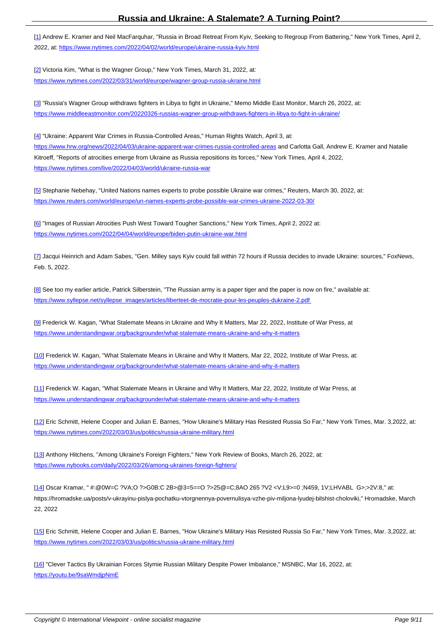[1] Andrew E. Kramer and Neil MacFarquhar, "Russia in Broad Retreat From Kyiv, Seeking to Regroup From Battering," New York Times, April 2, 2022, at: https://www.nytimes.com/2022/04/02/world/europe/ukraine-russia-kyiv.html

[[2](#nh1)] Victoria Kim, "What is the Wagner Group," New York Times, March 31, 2022, at:

https://w[ww.nytimes.com/2022/03/31/world/europe/wagner-group-russia-ukraine.htm](https://www.nytimes.com/2022/04/02/world/europe/ukraine-russia-kyiv.html)l

[[3](#nh2)] "Russia's Wagner Group withdraws fighters in Libya to fight in Ukraine," Memo Middle East Monitor, March 26, 2022, at: [https://www.middleeastmonitor.com/20220326-russias-wagner-group-withdraws-fighte](https://www.nytimes.com/2022/03/31/world/europe/wagner-group-russia-ukraine.html)rs-in-libya-to-fight-in-ukraine/

[[4](#nh3)] "Ukraine: Apparent War Crimes in Russia-Controlled Areas," Human Rights Watch, April 3, at: [https://www.hrw.org/news/2022/04/03/ukraine-apparent-war-crimes-russia-controlled-areas and Carlotta Gall, Andre](https://www.middleeastmonitor.com/20220326-russias-wagner-group-withdraws-fighters-in-libya-to-fight-in-ukraine/)w E. Kramer and Natalie Kitroeff, "Reports of atrocities emerge from Ukraine as Russia repositions its forces," New York Times, April 4, 2022, https://www.nytimes.com/live/2022/04/03/world/ukraine-russia-war

[\[5\] Stephanie Nebehay, "United Nations names experts to probe possible Ukraine war crime](https://www.hrw.org/news/2022/04/03/ukraine-apparent-war-crimes-russia-controlled-areas)s," Reuters, March 30, 2022, at: [https://www.reuters.com/world/europe/un-names-experts-probe-po](https://www.nytimes.com/live/2022/04/03/world/ukraine-russia-war)ssible-war-crimes-ukraine-2022-03-30/

[[6](#nh5)] "Images of Russian Atrocities Push West Toward Tougher Sanctions," New York Times, April 2, 2022 at: [https://www.nytimes.com/2022/04/04/world/europe/biden-putin-ukraine-war.html](https://www.reuters.com/world/europe/un-names-experts-probe-possible-war-crimes-ukraine-2022-03-30/)

[[7](#nh6)] Jacqui Heinrich and Adam Sabes, "Gen. Milley says Kyiv could fall within 72 hours if Russia decides to invade Ukraine: sources," FoxNews, [Feb. 5, 2022.](https://www.nytimes.com/2022/04/04/world/europe/biden-putin-ukraine-war.html)

[[8](#nh7)] See too my earlier article, Patrick Silberstein, "The Russian army is a paper tiger and the paper is now on fire," available at: https://www.syllepse.net/syllepse\_images/articles/liberte et-de-mocratie-pour-les-peuples-dukraine-2.pdf

[[9](#nh8)] Frederick W. Kagan, "What Stalemate Means in Ukraine and Why It Matters, Mar 22, 2022, Institute of War Press, at [https://www.understandingwar.org/backgrounder/what-stalemate-means-ukraine-and-why-it-matters](�� h t t p s : / / w w w . s y l l e p s e . n e t / s y l l e p s e _ i m a g e s / a r t i c l e s / l i b e r t e  e t - d e - m o c r a t i e - p o u r - l e s - p e u p l e s - d u k r a i n e - 2 . p d f)

[[1](#nh9)0] Frederick W. Kagan, "What Stalemate Means in Ukraine and Why It Matters, Mar 22, 2022, Institute of War Press, at: <https://www.understandingwar.org/backgrounder/what-stalemate-means-ukraine-and-why-it-matters>

[[11](#nh10)] Frederick W. Kagan, "What Stalemate Means in Ukraine and Why It Matters, Mar 22, 2022, Institute of War Press, at <https://www.understandingwar.org/backgrounder/what-stalemate-means-ukraine-and-why-it-matters>

[[12](#nh11)] Eric Schmitt, Helene Cooper and Julian E. Barnes, "How Ukraine's Military Has Resisted Russia So Far," New York Times, Mar. 3,2022, at: [https://www.nytimes.com/2022/03/03/us/politics/russia-ukraine-military.html](https://www.understandingwar.org/backgrounder/what-stalemate-means-ukraine-and-why-it-matters)

[[13](#nh12)] Anthony Hitchens, "Among Ukraine's Foreign Fighters," New York Review of Books, March 26, 2022, at: [https://www.nybooks.com/daily/2022/03/26/among-ukraines-foreign-fighters](https://www.nytimes.com/2022/03/03/us/politics/russia-ukraine-military.html)/

[[14](#nh13)] Oscar Kramar, " #:@0W=C ?VA;O ?>G0B:C 2B>@3=5==O ?>25@=C;8AO 265 ?V2 <V;L9>=0 ;N459, 1V;LHVABL G>;>2V:8," at: [https://hromadske.ua/posts/v-ukrayinu-pislya-pochatku-vtorgnennya-povernu](https://www.nybooks.com/daily/2022/03/26/among-ukraines-foreign-fighters/)lisya-vzhe-piv-miljona-lyudej-bilshist-choloviki," Hromadske, March 22, 2022

[15] Eric Schmitt, Helene Cooper and Julian E. Barnes, "How Ukraine's Military Has Resisted Russia So Far," New York Times, Mar. 3,2022, at: https://www.nytimes.com/2022/03/03/us/politics/russia-ukraine-military.html

[[16](#nh15)] "Clever Tactics By Ukrainian Forces Stymie Russian Military Despite Power Imbalance," MSNBC, Mar 16, 2022, at: [https://youtu.be/9saWmdjpNmE](https://www.nytimes.com/2022/03/03/us/politics/russia-ukraine-military.html)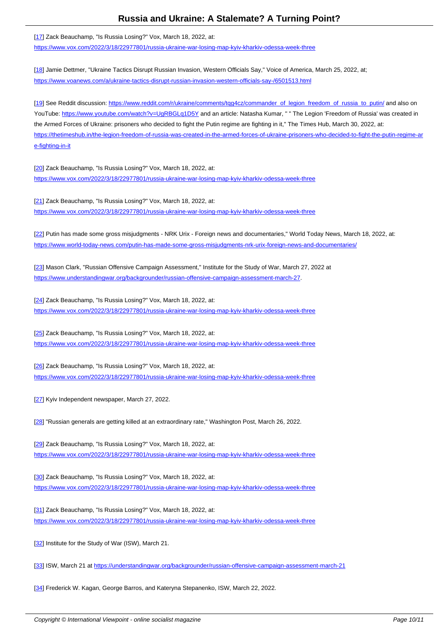$\left[ \frac{17}{17} \right]$  Zack Beauchamp, Ts Russia Losing: TVOX, March 10, 2022, at: https://www.vox.com/2022/3/18/22977801/russia-ukraine-war-losing-map-kyiv-kharkiv-odessa-week-three

[[18](#nh17)] Jamie Dettmer, "Ukraine Tactics Disrupt Russian Invasion, Western Officials Say," Voice of America, March 25, 2022, at; [https://www.voanews.com/a/ukraine-tactics-disrupt-russian-invasion-western-officials-say-/6501513.html](https://www.vox.com/2022/3/18/22977801/russia-ukraine-war-losing-map-kyiv-kharkiv-odessa-week-three)

[[19](#nh18)] See Reddit discussion: https://www.reddit.com/r/ukraine/comments/tqg4cz/commander\_of\_legion\_freedom\_of\_russia\_to\_putin/ and also on YouTube: [https://www.youtube.com/watch?v=UgRBGLq1D5Y and an article: Natasha Kumar, " " The Le](https://www.voanews.com/a/ukraine-tactics-disrupt-russian-invasion-western-officials-say-/6501513.html)gion 'Freedom of Russia' was created in the Armed Forces of Ukraine: prisoners who decided to fight the Putin regime are fighting in it," The Times Hub, March 30, 2022, at: https://thetimeshub.in/the-le[gion-freedom-of-russia-was-created-in-the-armed-forces-of-ukraine-prisoners-who-decided-to-fight-the-p](https://www.reddit.com/r/ukraine/comments/tqg4cz/commander_of_legion_freedom_of_russia_to_putin/)utin-regime-ar [e-fi](#nh19)ghting-[in-it](https://www.youtube.com/watch?v=UgRBGLq1D5Y)

[\[20\] Zack Beauchamp, "Is Russia Losing?" Vox, March 18, 2022, at:](https://thetimeshub.in/the-legion-freedom-of-russia-was-created-in-the-armed-forces-of-ukraine-prisoners-who-decided-to-fight-the-putin-regime-are-fighting-in-it) [https://www.vo](https://thetimeshub.in/the-legion-freedom-of-russia-was-created-in-the-armed-forces-of-ukraine-prisoners-who-decided-to-fight-the-putin-regime-are-fighting-in-it)x.com/2022/3/18/22977801/russia-ukraine-war-losing-map-kyiv-kharkiv-odessa-week-three

[[21](#nh20)] Zack Beauchamp, "Is Russia Losing?" Vox, March 18, 2022, at: <https://www.vox.com/2022/3/18/22977801/russia-ukraine-war-losing-map-kyiv-kharkiv-odessa-week-three>

[[22](#nh21)] Putin has made some gross misjudgments - NRK Urix - Foreign news and documentaries," World Today News, March 18, 2022, at: [https://www.world-today-news.com/putin-has-made-some-gross-misjudgments-nrk-urix-foreign-news-and-](https://www.vox.com/2022/3/18/22977801/russia-ukraine-war-losing-map-kyiv-kharkiv-odessa-week-three)documentaries/

[[23](#nh22)] Mason Clark, "Russian Offensive Campaign Assessment," Institute for the Study of War, March 27, 2022 at [https://www.understandingwar.org/backgrounder/russian-offensive-campaign-assessment-march-27.](https://www.world-today-news.com/putin-has-made-some-gross-misjudgments-nrk-urix-foreign-news-and-documentaries/)

[[24](#nh23)] Zack Beauchamp, "Is Russia Losing?" Vox, March 18, 2022, at: [https://www.vox.com/2022/3/18/22977801/russia-ukraine-war-losing-map-kyiv-kharkiv-odessa-week-](https://www.understandingwar.org/backgrounder/russian-offensive-campaign-assessment-march-27)three

[[25](#nh24)] Zack Beauchamp, "Is Russia Losing?" Vox, March 18, 2022, at: <https://www.vox.com/2022/3/18/22977801/russia-ukraine-war-losing-map-kyiv-kharkiv-odessa-week-three>

[[26](#nh25)] Zack Beauchamp, "Is Russia Losing?" Vox, March 18, 2022, at: <https://www.vox.com/2022/3/18/22977801/russia-ukraine-war-losing-map-kyiv-kharkiv-odessa-week-three>

[[27](#nh26)] Kyiv Independent newspaper, March 27, 2022.

[28] "Russian generals are getting killed at an extraordinary rate," Washington Post, March 26, 2022.

[29] Zack Beauchamp, "Is Russia Losing?" Vox, March 18, 2022, at: [http](#nh28)s://www.vox.com/2022/3/18/22977801/russia-ukraine-war-losing-map-kyiv-kharkiv-odessa-week-three

[[30](#nh29)] Zack Beauchamp, "Is Russia Losing?" Vox, March 18, 2022, at: <https://www.vox.com/2022/3/18/22977801/russia-ukraine-war-losing-map-kyiv-kharkiv-odessa-week-three>

[[31](#nh30)] Zack Beauchamp, "Is Russia Losing?" Vox, March 18, 2022, at: <https://www.vox.com/2022/3/18/22977801/russia-ukraine-war-losing-map-kyiv-kharkiv-odessa-week-three>

[[32](#nh31)] Institute for the Study of War (ISW), March 21.

[33] ISW, March 21 at https://understandingwar.org/backgrounder/russian-offensive-campaign-assessment-march-21

[34] Frederick W. Kagan, George Barros, and Kateryna Stepanenko, ISW, March 22, 2022.